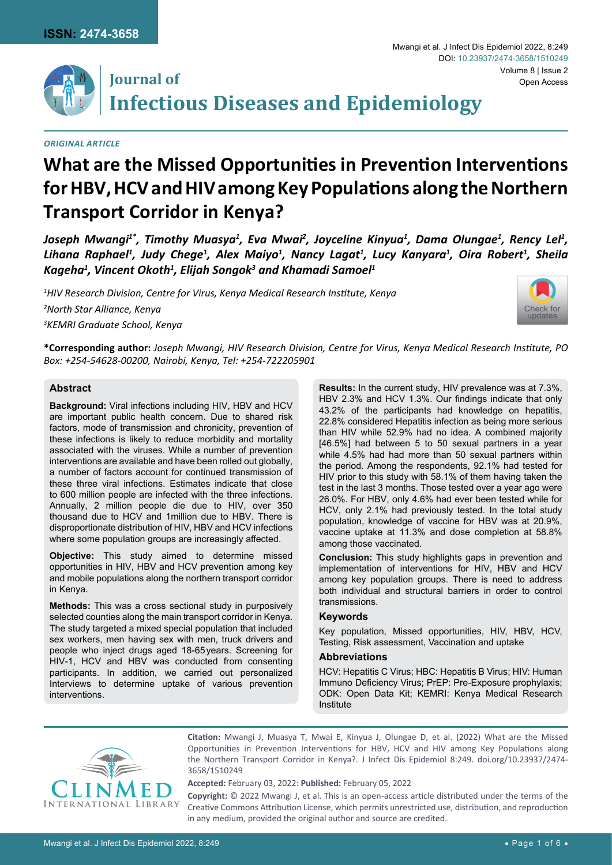

# **Journal of Infectious Diseases and Epidemiology**

*Original Article*

# **What are the Missed Opportunities in Prevention Interventions for HBV, HCV and HIV among Key Populations along the Northern Transport Corridor in Kenya?**

Joseph Mwangi<sup>1\*</sup>, Timothy Muasya<sup>1</sup>, Eva Mwai<sup>2</sup>, Joyceline Kinyua<sup>1</sup>, Dama Olungae<sup>1</sup>, Rency Lel<sup>1</sup>, *Lihana Raphael1 , Judy Chege1 , Alex Maiyo1 , Nancy Lagat1 , Lucy Kanyara1 , Oira Robert1 , Sheila Kageha1 , Vincent Okoth1 , Elijah Songok3 and Khamadi Samoel1*

*1 HIV Research Division, Centre for Virus, Kenya Medical Research Institute, Kenya*

*2 North Star Alliance, Kenya*

*3 KEMRI Graduate School, Kenya*



**\*Corresponding author:** *Joseph Mwangi, HIV Research Division, Centre for Virus, Kenya Medical Research Institute, PO Box: +254-54628-00200, Nairobi, Kenya, Tel: +254-722205901*

## **Abstract**

**Background:** Viral infections including HIV, HBV and HCV are important public health concern. Due to shared risk factors, mode of transmission and chronicity, prevention of these infections is likely to reduce morbidity and mortality associated with the viruses. While a number of prevention interventions are available and have been rolled out globally, a number of factors account for continued transmission of these three viral infections. Estimates indicate that close to 600 million people are infected with the three infections. Annually, 2 million people die due to HIV, over 350 thousand due to HCV and 1million due to HBV. There is disproportionate distribution of HIV, HBV and HCV infections where some population groups are increasingly affected.

**Objective:** This study aimed to determine missed opportunities in HIV, HBV and HCV prevention among key and mobile populations along the northern transport corridor in Kenya.

**Methods:** This was a cross sectional study in purposively selected counties along the main transport corridor in Kenya. The study targeted a mixed special population that included sex workers, men having sex with men, truck drivers and people who inject drugs aged 18-65years. Screening for HIV-1, HCV and HBV was conducted from consenting participants. In addition, we carried out personalized Interviews to determine uptake of various prevention interventions.

**Results:** In the current study, HIV prevalence was at 7.3%, HBV 2.3% and HCV 1.3%. Our findings indicate that only 43.2% of the participants had knowledge on hepatitis, 22.8% considered Hepatitis infection as being more serious than HIV while 52.9% had no idea. A combined majority [46.5%] had between 5 to 50 sexual partners in a year while 4.5% had had more than 50 sexual partners within the period. Among the respondents, 92.1% had tested for HIV prior to this study with 58.1% of them having taken the test in the last 3 months. Those tested over a year ago were 26.0%. For HBV, only 4.6% had ever been tested while for HCV, only 2.1% had previously tested. In the total study population, knowledge of vaccine for HBV was at 20.9%, vaccine uptake at 11.3% and dose completion at 58.8% among those vaccinated.

**Conclusion:** This study highlights gaps in prevention and implementation of interventions for HIV, HBV and HCV among key population groups. There is need to address both individual and structural barriers in order to control transmissions.

#### **Keywords**

Key population, Missed opportunities, HIV, HBV, HCV, Testing, Risk assessment, Vaccination and uptake

#### **Abbreviations**

HCV: Hepatitis C Virus; HBC: Hepatitis B Virus; HIV: Human Immuno Deficiency Virus; PrEP: Pre-Exposure prophylaxis; ODK: Open Data Kit; KEMRI: Kenya Medical Research Institute



**Citation:** Mwangi J, Muasya T, Mwai E, Kinyua J, Olungae D, et al. (2022) What are the Missed Opportunities in Prevention Interventions for HBV, HCV and HIV among Key Populations along the Northern Transport Corridor in Kenya?. J Infect Dis Epidemiol 8:249. [doi.org/10.23937/2474-](https://doi.org/10.23937/2474-3658/1510249) [3658/1510249](https://doi.org/10.23937/2474-3658/1510249)

**Accepted:** February 03, 2022: **Published:** February 05, 2022

**Copyright:** © 2022 Mwangi J, et al. This is an open-access article distributed under the terms of the Creative Commons Attribution License, which permits unrestricted use, distribution, and reproduction in any medium, provided the original author and source are credited.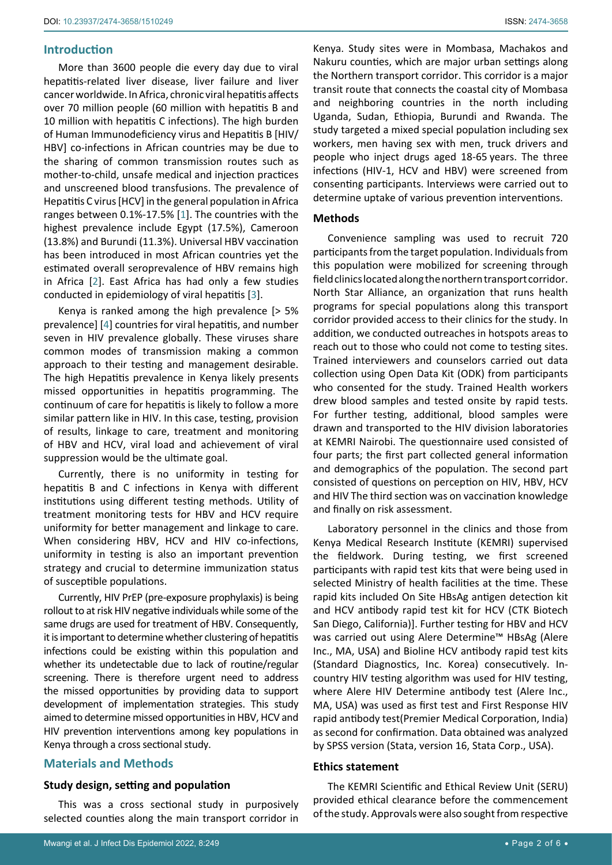## **Introduction**

More than 3600 people die every day due to viral hepatitis-related liver disease, liver failure and liver cancer worldwide. In Africa, chronic viral hepatitis affects over 70 million people (60 million with hepatitis B and 10 million with hepatitis C infections). The high burden of Human Immunodeficiency virus and Hepatitis B [HIV/ HBV] co-infections in African countries may be due to the sharing of common transmission routes such as mother-to-child, unsafe medical and injection practices and unscreened blood transfusions. The prevalence of Hepatitis C virus [HCV] in the general population in Africa ranges between 0.1%-17.5% [\[1](#page-5-0)]. The countries with the highest prevalence include Egypt (17.5%), Cameroon (13.8%) and Burundi (11.3%). Universal HBV vaccination has been introduced in most African countries yet the estimated overall seroprevalence of HBV remains high in Africa [[2](#page-5-1)]. East Africa has had only a few studies conducted in epidemiology of viral hepatitis [\[3\]](#page-5-2).

Kenya is ranked among the high prevalence [> 5% prevalence] [[4](#page-5-3)] countries for viral hepatitis, and number seven in HIV prevalence globally. These viruses share common modes of transmission making a common approach to their testing and management desirable. The high Hepatitis prevalence in Kenya likely presents missed opportunities in hepatitis programming. The continuum of care for hepatitis is likely to follow a more similar pattern like in HIV. In this case, testing, provision of results, linkage to care, treatment and monitoring of HBV and HCV, viral load and achievement of viral suppression would be the ultimate goal.

Currently, there is no uniformity in testing for hepatitis B and C infections in Kenya with different institutions using different testing methods. Utility of treatment monitoring tests for HBV and HCV require uniformity for better management and linkage to care. When considering HBV, HCV and HIV co-infections, uniformity in testing is also an important prevention strategy and crucial to determine immunization status of susceptible populations.

Currently, HIV PrEP (pre-exposure prophylaxis) is being rollout to at risk HIV negative individuals while some of the same drugs are used for treatment of HBV. Consequently, it is important to determine whether clustering of hepatitis infections could be existing within this population and whether its undetectable due to lack of routine/regular screening. There is therefore urgent need to address the missed opportunities by providing data to support development of implementation strategies. This study aimed to determine missed opportunities in HBV, HCV and HIV prevention interventions among key populations in Kenya through a cross sectional study.

# **Materials and Methods**

#### **Study design, setting and population**

This was a cross sectional study in purposively selected counties along the main transport corridor in Kenya. Study sites were in Mombasa, Machakos and Nakuru counties, which are major urban settings along the Northern transport corridor. This corridor is a major transit route that connects the coastal city of Mombasa and neighboring countries in the north including Uganda, Sudan, Ethiopia, Burundi and Rwanda. The study targeted a mixed special population including sex workers, men having sex with men, truck drivers and people who inject drugs aged 18-65 years. The three infections (HIV-1, HCV and HBV) were screened from consenting participants. Interviews were carried out to determine uptake of various prevention interventions.

#### **Methods**

Convenience sampling was used to recruit 720 participants from the target population. Individuals from this population were mobilized for screening through field clinics located along the northern transport corridor. North Star Alliance, an organization that runs health programs for special populations along this transport corridor provided access to their clinics for the study. In addition, we conducted outreaches in hotspots areas to reach out to those who could not come to testing sites. Trained interviewers and counselors carried out data collection using Open Data Kit (ODK) from participants who consented for the study. Trained Health workers drew blood samples and tested onsite by rapid tests. For further testing, additional, blood samples were drawn and transported to the HIV division laboratories at KEMRI Nairobi. The questionnaire used consisted of four parts; the first part collected general information and demographics of the population. The second part consisted of questions on perception on HIV, HBV, HCV and HIV The third section was on vaccination knowledge and finally on risk assessment.

Laboratory personnel in the clinics and those from Kenya Medical Research Institute (KEMRI) supervised the fieldwork. During testing, we first screened participants with rapid test kits that were being used in selected Ministry of health facilities at the time. These rapid kits included On Site HBsAg antigen detection kit and HCV antibody rapid test kit for HCV (CTK Biotech San Diego, California)]. Further testing for HBV and HCV was carried out using Alere Determine™ HBsAg (Alere Inc., MA, USA) and Bioline HCV antibody rapid test kits (Standard Diagnostics, Inc. Korea) consecutively. Incountry HIV testing algorithm was used for HIV testing, where Alere HIV Determine antibody test (Alere Inc., MA, USA) was used as first test and First Response HIV rapid antibody test(Premier Medical Corporation, India) as second for confirmation. Data obtained was analyzed by SPSS version (Stata, version 16, Stata Corp., USA).

#### **Ethics statement**

The KEMRI Scientific and Ethical Review Unit (SERU) provided ethical clearance before the commencement of the study. Approvals were also sought from respective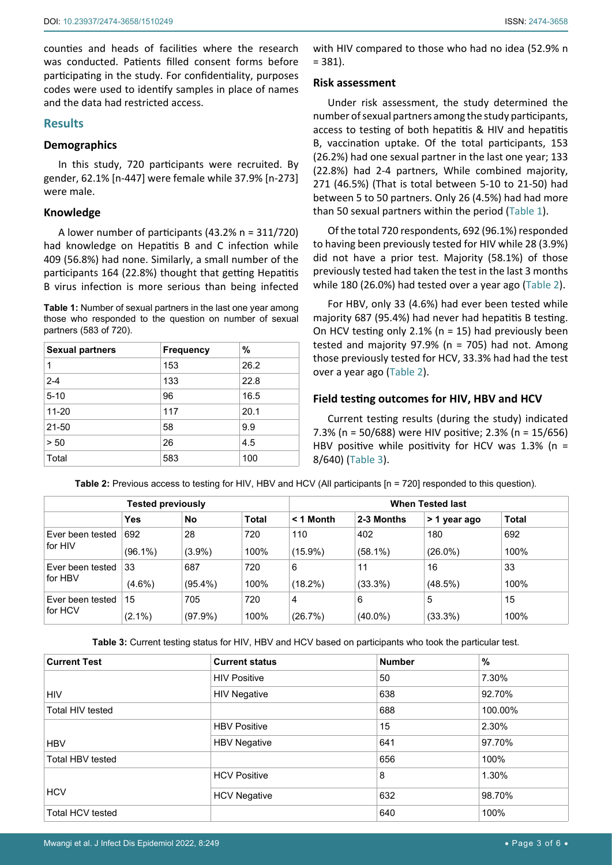counties and heads of facilities where the research was conducted. Patients filled consent forms before participating in the study. For confidentiality, purposes codes were used to identify samples in place of names and the data had restricted access.

#### **Results**

## **Demographics**

In this study, 720 participants were recruited. By gender, 62.1% [n-447] were female while 37.9% [n-273] were male.

#### **Knowledge**

A lower number of participants (43.2% n = 311/720) had knowledge on Hepatitis B and C infection while 409 (56.8%) had none. Similarly, a small number of the participants 164 (22.8%) thought that getting Hepatitis B virus infection is more serious than being infected

<span id="page-2-0"></span>**Table 1:** Number of sexual partners in the last one year among those who responded to the question on number of sexual partners (583 of 720).

| <b>Sexual partners</b> | <b>Frequency</b> | %    |
|------------------------|------------------|------|
| 1                      | 153              | 26.2 |
| $2 - 4$                | 133              | 22.8 |
| $5 - 10$               | 96               | 16.5 |
| $11 - 20$              | 117              | 20.1 |
| $21 - 50$              | 58               | 9.9  |
| > 50                   | 26               | 4.5  |
| Total                  | 583              | 100  |

with HIV compared to those who had no idea (52.9% n  $= 381$ ).

#### **Risk assessment**

Under risk assessment, the study determined the number of sexual partners among the study participants, access to testing of both hepatitis & HIV and hepatitis B, vaccination uptake. Of the total participants, 153 (26.2%) had one sexual partner in the last one year; 133 (22.8%) had 2-4 partners, While combined majority, 271 (46.5%) (That is total between 5-10 to 21-50) had between 5 to 50 partners. Only 26 (4.5%) had had more than 50 sexual partners within the period [\(Table 1](#page-2-0)).

Of the total 720 respondents, 692 (96.1%) responded to having been previously tested for HIV while 28 (3.9%) did not have a prior test. Majority (58.1%) of those previously tested had taken the test in the last 3 months while 180 (26.0%) had tested over a year ago ([Table 2](#page-2-1)).

For HBV, only 33 (4.6%) had ever been tested while majority 687 (95.4%) had never had hepatitis B testing. On HCV testing only 2.1% (n = 15) had previously been tested and majority 97.9% (n = 705) had not. Among those previously tested for HCV, 33.3% had had the test over a year ago ([Table 2\)](#page-2-1).

## **Field testing outcomes for HIV, HBV and HCV**

Current testing results (during the study) indicated 7.3% (n = 50/688) were HIV positive; 2.3% (n = 15/656) HBV positive while positivity for HCV was  $1.3\%$  (n = 8/640) [\(Table 3](#page-2-2)).

<span id="page-2-1"></span>**Table 2:** Previous access to testing for HIV, HBV and HCV (All participants  $[n = 720]$  responded to this question).

| <b>Tested previously</b> |            |            | <b>When Tested last</b> |             |            |              |              |
|--------------------------|------------|------------|-------------------------|-------------|------------|--------------|--------------|
|                          | Yes        | No         | <b>Total</b>            | $<$ 1 Month | 2-3 Months | > 1 year ago | <b>Total</b> |
| Ever been tested         | 692        | 28         | 720                     | 110         | 402        | 180          | 692          |
| for HIV                  | $(96.1\%)$ | $(3.9\%)$  | 100%                    | $(15.9\%)$  | $(58.1\%)$ | $(26.0\%)$   | 100%         |
| Ever been tested         | 33         | 687        | 720                     | 6           | 11         | 16           | 33           |
| for HBV                  | $(4.6\%)$  | $(95.4\%)$ | 100%                    | $(18.2\%)$  | $(33.3\%)$ | (48.5%)      | 100%         |
| Ever been tested         | 15         | 705        | 720                     | 4           | 6          | 5            | 15           |
| for HCV                  | $(2.1\%)$  | (97.9%)    | 100%                    | (26.7%)     | $(40.0\%)$ | $(33.3\%)$   | 100%         |

<span id="page-2-2"></span>**Table 3:** Current testing status for HIV, HBV and HCV based on participants who took the particular test.

| <b>Current Test</b>     | <b>Current status</b> | <b>Number</b> | %       |
|-------------------------|-----------------------|---------------|---------|
|                         | <b>HIV Positive</b>   | 50            | 7.30%   |
| <b>HIV</b>              | <b>HIV Negative</b>   | 638           | 92.70%  |
| Total HIV tested        |                       | 688           | 100.00% |
|                         | <b>HBV Positive</b>   | 15            | 2.30%   |
| <b>HBV</b>              | <b>HBV Negative</b>   | 641           | 97.70%  |
| Total HBV tested        |                       | 656           | 100%    |
|                         | <b>HCV Positive</b>   | 8             | 1.30%   |
| <b>HCV</b>              | <b>HCV Negative</b>   | 632           | 98.70%  |
| <b>Total HCV tested</b> |                       | 640           | 100%    |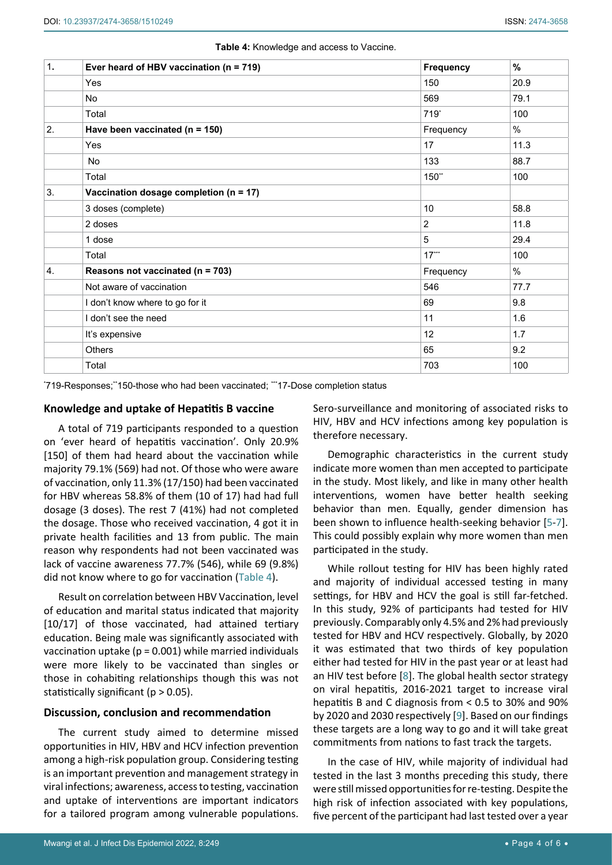#### <span id="page-3-0"></span>**Table 4:** Knowledge and access to Vaccine.

| 1. | Ever heard of HBV vaccination ( $n = 719$ ) | <b>Frequency</b> | %    |
|----|---------------------------------------------|------------------|------|
|    | Yes                                         | 150              | 20.9 |
|    | No                                          | 569              | 79.1 |
|    | Total                                       | $719*$           | 100  |
| 2. | Have been vaccinated ( $n = 150$ )          | Frequency        | $\%$ |
|    | Yes                                         | 17               | 11.3 |
|    | No                                          | 133              | 88.7 |
|    | Total                                       | 150**            | 100  |
| 3. | Vaccination dosage completion ( $n = 17$ )  |                  |      |
|    | 3 doses (complete)                          | 10               | 58.8 |
|    | 2 doses                                     | $\overline{2}$   | 11.8 |
|    | 1 dose                                      | 5                | 29.4 |
|    | Total                                       | $17***$          | 100  |
| 4. | Reasons not vaccinated (n = 703)            | Frequency        | $\%$ |
|    | Not aware of vaccination                    | 546              | 77.7 |
|    | I don't know where to go for it             | 69               | 9.8  |
|    | I don't see the need                        | 11               | 1.6  |
|    | It's expensive                              | 12               | 1.7  |
|    | Others                                      | 65               | 9.2  |
|    | Total                                       | 703              | 100  |

'719-Responses;''150-those who had been vaccinated; '''17-Dose completion status

## **Knowledge and uptake of Hepatitis B vaccine**

A total of 719 participants responded to a question on 'ever heard of hepatitis vaccination'. Only 20.9% [150] of them had heard about the vaccination while majority 79.1% (569) had not. Of those who were aware of vaccination, only 11.3% (17/150) had been vaccinated for HBV whereas 58.8% of them (10 of 17) had had full dosage (3 doses). The rest 7 (41%) had not completed the dosage. Those who received vaccination, 4 got it in private health facilities and 13 from public. The main reason why respondents had not been vaccinated was lack of vaccine awareness 77.7% (546), while 69 (9.8%) did not know where to go for vaccination [\(Table 4](#page-3-0)).

Result on correlation between HBV Vaccination, level of education and marital status indicated that majority [10/17] of those vaccinated, had attained tertiary education. Being male was significantly associated with vaccination uptake ( $p = 0.001$ ) while married individuals were more likely to be vaccinated than singles or those in cohabiting relationships though this was not statistically significant ( $p > 0.05$ ).

#### **Discussion, conclusion and recommendation**

The current study aimed to determine missed opportunities in HIV, HBV and HCV infection prevention among a high-risk population group. Considering testing is an important prevention and management strategy in viral infections; awareness, access to testing, vaccination and uptake of interventions are important indicators for a tailored program among vulnerable populations.

Sero-surveillance and monitoring of associated risks to HIV, HBV and HCV infections among key population is therefore necessary.

Demographic characteristics in the current study indicate more women than men accepted to participate in the study. Most likely, and like in many other health interventions, women have better health seeking behavior than men. Equally, gender dimension has been shown to influence health-seeking behavior [\[5-](#page-5-4)[7\]](#page-5-5). This could possibly explain why more women than men participated in the study.

While rollout testing for HIV has been highly rated and majority of individual accessed testing in many settings, for HBV and HCV the goal is still far-fetched. In this study, 92% of participants had tested for HIV previously. Comparably only 4.5% and 2% had previously tested for HBV and HCV respectively. Globally, by 2020 it was estimated that two thirds of key population either had tested for HIV in the past year or at least had an HIV test before [\[8\]](#page-5-6). The global health sector strategy on viral hepatitis, 2016-2021 target to increase viral hepatitis B and C diagnosis from < 0.5 to 30% and 90% by 2020 and 2030 respectively [[9\]](#page-5-7). Based on our findings these targets are a long way to go and it will take great commitments from nations to fast track the targets.

In the case of HIV, while majority of individual had tested in the last 3 months preceding this study, there were still missed opportunities for re-testing. Despite the high risk of infection associated with key populations, five percent of the participant had last tested over a year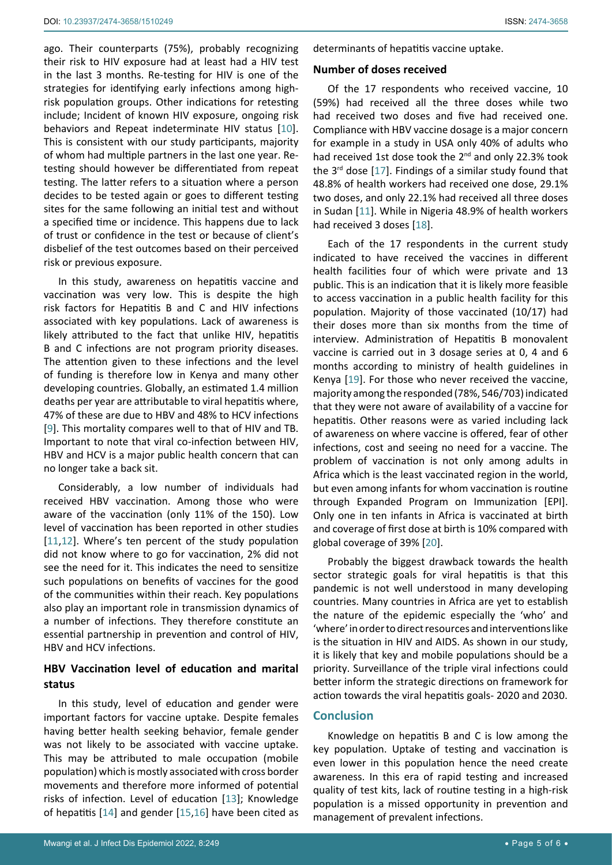ago. Their counterparts (75%), probably recognizing their risk to HIV exposure had at least had a HIV test in the last 3 months. Re-testing for HIV is one of the strategies for identifying early infections among highrisk population groups. Other indications for retesting include; Incident of known HIV exposure, ongoing risk behaviors and Repeat indeterminate HIV status [\[10](#page-5-13)]. This is consistent with our study participants, majority of whom had multiple partners in the last one year. Retesting should however be differentiated from repeat testing. The latter refers to a situation where a person decides to be tested again or goes to different testing sites for the same following an initial test and without a specified time or incidence. This happens due to lack of trust or confidence in the test or because of client's disbelief of the test outcomes based on their perceived risk or previous exposure.

In this study, awareness on hepatitis vaccine and vaccination was very low. This is despite the high risk factors for Hepatitis B and C and HIV infections associated with key populations. Lack of awareness is likely attributed to the fact that unlike HIV, hepatitis B and C infections are not program priority diseases. The attention given to these infections and the level of funding is therefore low in Kenya and many other developing countries. Globally, an estimated 1.4 million deaths per year are attributable to viral hepatitis where, 47% of these are due to HBV and 48% to HCV infections [[9](#page-5-7)]. This mortality compares well to that of HIV and TB. Important to note that viral co-infection between HIV, HBV and HCV is a major public health concern that can no longer take a back sit.

Considerably, a low number of individuals had received HBV vaccination. Among those who were aware of the vaccination (only 11% of the 150). Low level of vaccination has been reported in other studies [[11](#page-5-9),[12\]](#page-5-14). Where's ten percent of the study population did not know where to go for vaccination, 2% did not see the need for it. This indicates the need to sensitize such populations on benefits of vaccines for the good of the communities within their reach. Key populations also play an important role in transmission dynamics of a number of infections. They therefore constitute an essential partnership in prevention and control of HIV, HBV and HCV infections.

# **HBV Vaccination level of education and marital status**

In this study, level of education and gender were important factors for vaccine uptake. Despite females having better health seeking behavior, female gender was not likely to be associated with vaccine uptake. This may be attributed to male occupation (mobile population) which is mostly associated with cross border movements and therefore more informed of potential risks of infection. Level of education [\[13](#page-5-15)]; Knowledge of hepatitis [[14\]](#page-5-16) and gender [[15](#page-5-17),[16\]](#page-5-18) have been cited as

determinants of hepatitis vaccine uptake.

#### **Number of doses received**

Of the 17 respondents who received vaccine, 10 (59%) had received all the three doses while two had received two doses and five had received one. Compliance with HBV vaccine dosage is a major concern for example in a study in USA only 40% of adults who had received 1st dose took the 2<sup>nd</sup> and only 22.3% took the  $3<sup>rd</sup>$  dose [\[17\]](#page-5-8). Findings of a similar study found that 48.8% of health workers had received one dose, 29.1% two doses, and only 22.1% had received all three doses in Sudan [\[11\]](#page-5-9). While in Nigeria 48.9% of health workers had received 3 doses [\[18](#page-5-10)].

Each of the 17 respondents in the current study indicated to have received the vaccines in different health facilities four of which were private and 13 public. This is an indication that it is likely more feasible to access vaccination in a public health facility for this population. Majority of those vaccinated (10/17) had their doses more than six months from the time of interview. Administration of Hepatitis B monovalent vaccine is carried out in 3 dosage series at 0, 4 and 6 months according to ministry of health guidelines in Kenya [[19\]](#page-5-11). For those who never received the vaccine, majority among the responded (78%, 546/703) indicated that they were not aware of availability of a vaccine for hepatitis. Other reasons were as varied including lack of awareness on where vaccine is offered, fear of other infections, cost and seeing no need for a vaccine. The problem of vaccination is not only among adults in Africa which is the least vaccinated region in the world, but even among infants for whom vaccination is routine through Expanded Program on Immunization [EPI]. Only one in ten infants in Africa is vaccinated at birth and coverage of first dose at birth is 10% compared with global coverage of 39% [[20](#page-5-12)].

Probably the biggest drawback towards the health sector strategic goals for viral hepatitis is that this pandemic is not well understood in many developing countries. Many countries in Africa are yet to establish the nature of the epidemic especially the 'who' and 'where' in order to direct resources and interventions like is the situation in HIV and AIDS. As shown in our study, it is likely that key and mobile populations should be a priority. Surveillance of the triple viral infections could better inform the strategic directions on framework for action towards the viral hepatitis goals- 2020 and 2030.

# **Conclusion**

Knowledge on hepatitis B and C is low among the key population. Uptake of testing and vaccination is even lower in this population hence the need create awareness. In this era of rapid testing and increased quality of test kits, lack of routine testing in a high-risk population is a missed opportunity in prevention and management of prevalent infections.